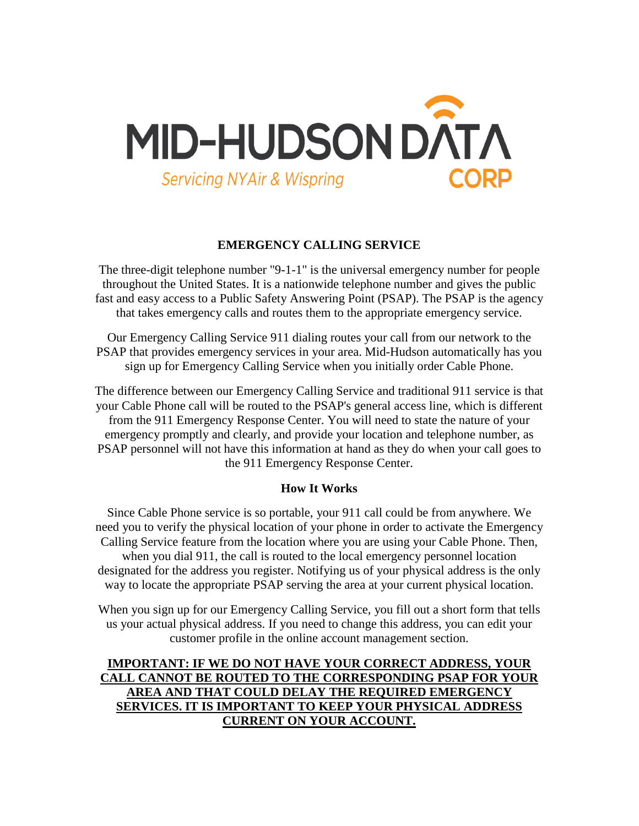

### **EMERGENCY CALLING SERVICE**

The three-digit telephone number "9-1-1" is the universal emergency number for people throughout the United States. It is a nationwide telephone number and gives the public fast and easy access to a Public Safety Answering Point (PSAP). The PSAP is the agency that takes emergency calls and routes them to the appropriate emergency service.

Our Emergency Calling Service 911 dialing routes your call from our network to the PSAP that provides emergency services in your area. Mid-Hudson automatically has you sign up for Emergency Calling Service when you initially order Cable Phone.

The difference between our Emergency Calling Service and traditional 911 service is that your Cable Phone call will be routed to the PSAP's general access line, which is different from the 911 Emergency Response Center. You will need to state the nature of your emergency promptly and clearly, and provide your location and telephone number, as PSAP personnel will not have this information at hand as they do when your call goes to the 911 Emergency Response Center.

### **How It Works**

Since Cable Phone service is so portable, your 911 call could be from anywhere. We need you to verify the physical location of your phone in order to activate the Emergency Calling Service feature from the location where you are using your Cable Phone. Then, when you dial 911, the call is routed to the local emergency personnel location designated for the address you register. Notifying us of your physical address is the only way to locate the appropriate PSAP serving the area at your current physical location.

When you sign up for our Emergency Calling Service, you fill out a short form that tells us your actual physical address. If you need to change this address, you can edit your customer profile in the online account management section.

# **IMPORTANT: IF WE DO NOT HAVE YOUR CORRECT ADDRESS, YOUR CALL CANNOT BE ROUTED TO THE CORRESPONDING PSAP FOR YOUR AREA AND THAT COULD DELAY THE REQUIRED EMERGENCY SERVICES. IT IS IMPORTANT TO KEEP YOUR PHYSICAL ADDRESS CURRENT ON YOUR ACCOUNT.**